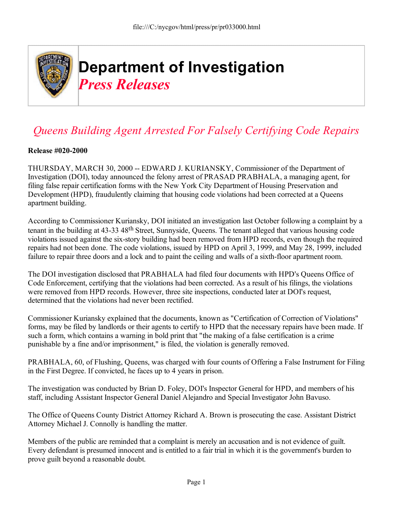

## *Queens Building Agent Arrested For Falsely Certifying Code Repairs*

## **Release #020-2000**

THURSDAY, MARCH 30, 2000 -- EDWARD J. KURIANSKY, Commissioner of the Department of Investigation (DOI), today announced the felony arrest of PRASAD PRABHALA, a managing agent, for filing false repair certification forms with the New York City Department of Housing Preservation and Development (HPD), fraudulently claiming that housing code violations had been corrected at a Queens apartment building.

According to Commissioner Kuriansky, DOI initiated an investigation last October following a complaint by a tenant in the building at 43-33 48th Street, Sunnyside, Queens. The tenant alleged that various housing code violations issued against the six-story building had been removed from HPD records, even though the required repairs had not been done. The code violations, issued by HPD on April 3, 1999, and May 28, 1999, included failure to repair three doors and a lock and to paint the ceiling and walls of a sixth-floor apartment room.

The DOI investigation disclosed that PRABHALA had filed four documents with HPD's Queens Office of Code Enforcement, certifying that the violations had been corrected. As a result of his filings, the violations were removed from HPD records. However, three site inspections, conducted later at DOI's request, determined that the violations had never been rectified.

Commissioner Kuriansky explained that the documents, known as "Certification of Correction of Violations" forms, may be filed by landlords or their agents to certify to HPD that the necessary repairs have been made. If such a form, which contains a warning in bold print that "the making of a false certification is a crime punishable by a fine and/or imprisonment," is filed, the violation is generally removed.

PRABHALA, 60, of Flushing, Queens, was charged with four counts of Offering a False Instrument for Filing in the First Degree. If convicted, he faces up to 4 years in prison.

The investigation was conducted by Brian D. Foley, DOI's Inspector General for HPD, and members of his staff, including Assistant Inspector General Daniel Alejandro and Special Investigator John Bavuso.

The Office of Queens County District Attorney Richard A. Brown is prosecuting the case. Assistant District Attorney Michael J. Connolly is handling the matter.

Members of the public are reminded that a complaint is merely an accusation and is not evidence of guilt. Every defendant is presumed innocent and is entitled to a fair trial in which it is the government's burden to prove guilt beyond a reasonable doubt.